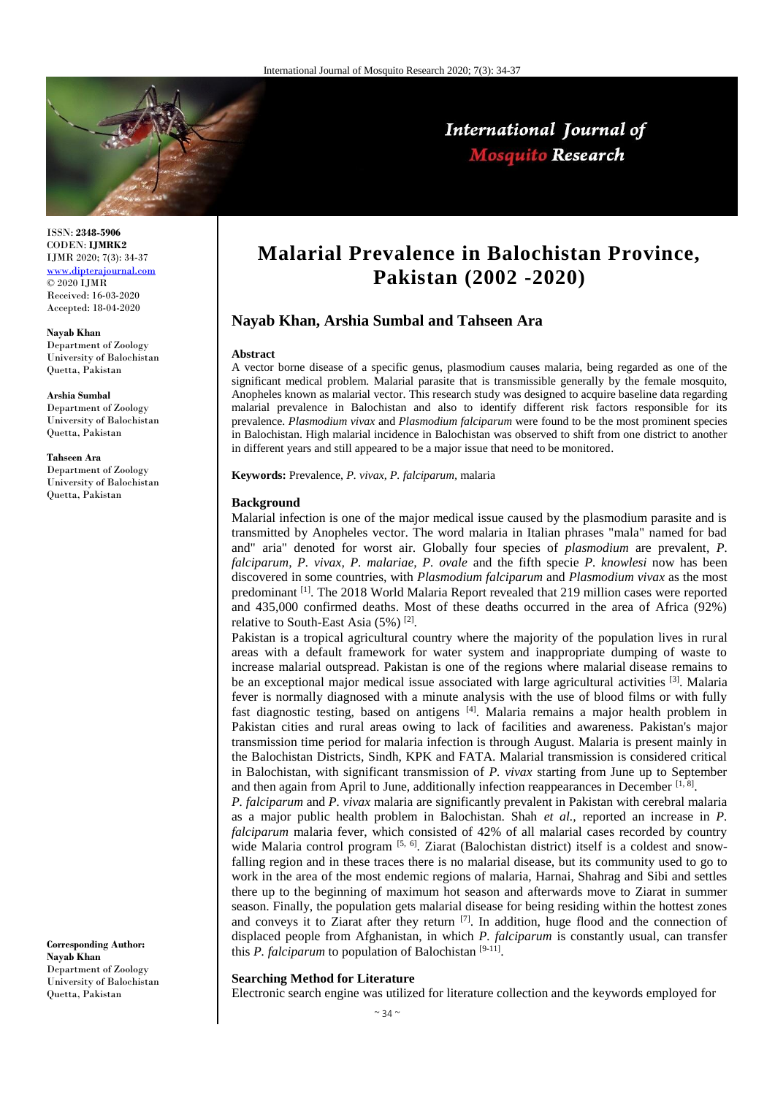

# International Journal of **Mosquito Research**

ISSN: **2348-5906** CODEN: **IJMRK2** IJMR 2020; 7(3): 34-37 [www.dipterajournal.com](file:///D:/2020%20files/01-06-2020/03-06-2020/Mos/www.dipterajournal.com) © 2020 IJMR Received: 16-03-2020 Accepted: 18-04-2020

**Nayab Khan** Department of Zoology University of Balochistan Quetta, Pakistan

**Arshia Sumbal** Department of Zoology University of Balochistan Quetta, Pakistan

#### **Tahseen Ara**

Department of Zoology University of Balochistan Quetta, Pakistan

**Corresponding Author: Nayab Khan** Department of Zoology University of Balochistan Quetta, Pakistan

# **Malarial Prevalence in Balochistan Province, Pakistan (2002 -2020)**

## **Nayab Khan, Arshia Sumbal and Tahseen Ara**

#### **Abstract**

A vector borne disease of a specific genus, plasmodium causes malaria, being regarded as one of the significant medical problem. Malarial parasite that is transmissible generally by the female mosquito, Anopheles known as malarial vector. This research study was designed to acquire baseline data regarding malarial prevalence in Balochistan and also to identify different risk factors responsible for its prevalence. *Plasmodium vivax* and *Plasmodium falciparum* were found to be the most prominent species in Balochistan. High malarial incidence in Balochistan was observed to shift from one district to another in different years and still appeared to be a major issue that need to be monitored.

**Keywords:** Prevalence, *P. vivax, P. falciparum,* malaria

#### **Background**

Malarial infection is one of the major medical issue caused by the plasmodium parasite and is transmitted by Anopheles vector. The word malaria in Italian phrases "mala" named for bad and" aria" denoted for worst air. Globally four species of *plasmodium* are prevalent, *P. falciparum, P. vivax, P. malariae, P. ovale* and the fifth specie *P. knowlesi* now has been discovered in some countries, with *Plasmodium falciparum* and *Plasmodium vivax* as the most predominant [1]. The 2018 World Malaria Report revealed that 219 million cases were reported and 435,000 confirmed deaths. Most of these deaths occurred in the area of Africa (92%) relative to South-East Asia  $(5\%)$ <sup>[2]</sup>.

Pakistan is a tropical agricultural country where the majority of the population lives in rural areas with a default framework for water system and inappropriate dumping of waste to increase malarial outspread. Pakistan is one of the regions where malarial disease remains to be an exceptional major medical issue associated with large agricultural activities [3]. Malaria fever is normally diagnosed with a minute analysis with the use of blood films or with fully fast diagnostic testing, based on antigens [4]. Malaria remains a major health problem in Pakistan cities and rural areas owing to lack of facilities and awareness. Pakistan's major transmission time period for malaria infection is through August. Malaria is present mainly in the Balochistan Districts, Sindh, KPK and FATA. Malarial transmission is considered critical in Balochistan, with significant transmission of *P. vivax* starting from June up to September and then again from April to June, additionally infection reappearances in December [1, 8].

*P. falciparum* and *P. vivax* malaria are significantly prevalent in Pakistan with cerebral malaria as a major public health problem in Balochistan. Shah *et al.,* reported an increase in *P. falciparum* malaria fever, which consisted of 42% of all malarial cases recorded by country wide Malaria control program  $[5, 6]$ . Ziarat (Balochistan district) itself is a coldest and snowfalling region and in these traces there is no malarial disease, but its community used to go to work in the area of the most endemic regions of malaria, Harnai, Shahrag and Sibi and settles there up to the beginning of maximum hot season and afterwards move to Ziarat in summer season. Finally, the population gets malarial disease for being residing within the hottest zones and conveys it to Ziarat after they return  $[7]$ . In addition, huge flood and the connection of displaced people from Afghanistan, in which *P. falciparum* is constantly usual, can transfer this *P. falciparum* to population of Balochistan [9-11].

### **Searching Method for Literature**

Electronic search engine was utilized for literature collection and the keywords employed for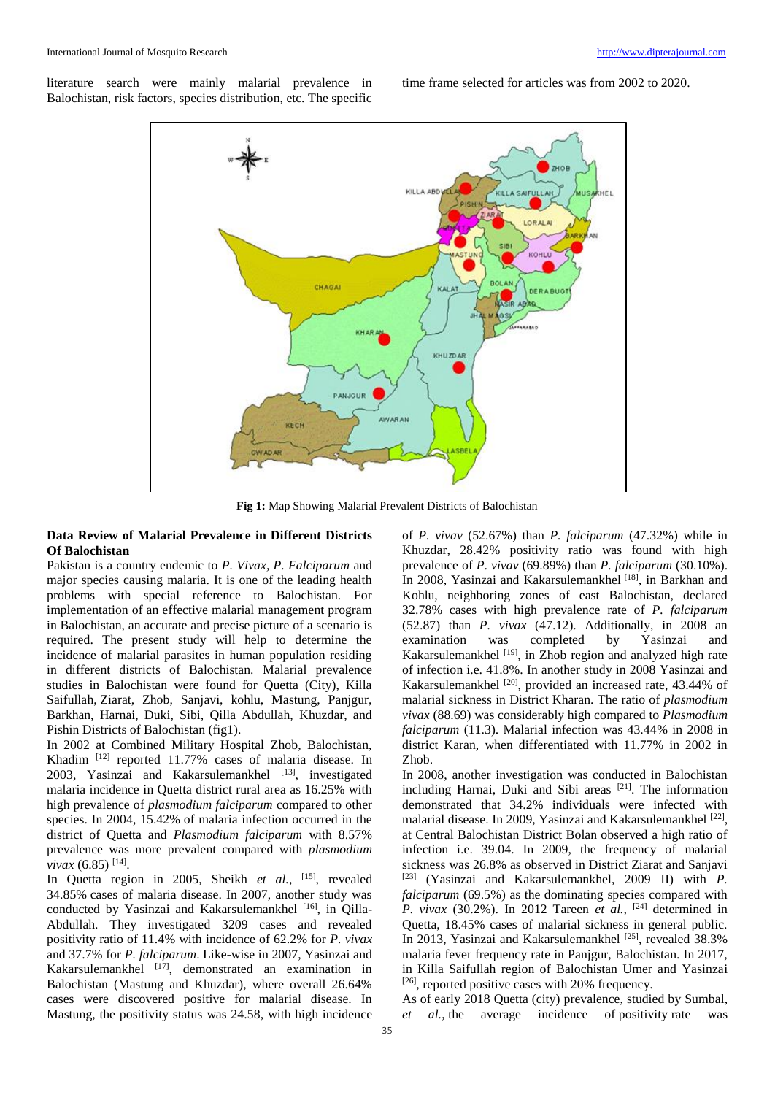literature search were mainly malarial prevalence in Balochistan, risk factors, species distribution, etc. The specific

time frame selected for articles was from 2002 to 2020.



**Fig 1:** Map Showing Malarial Prevalent Districts of Balochistan

### **Data Review of Malarial Prevalence in Different Districts Of Balochistan**

Pakistan is a country endemic to *P. Vivax, P. Falciparum* and major species causing malaria. It is one of the leading health problems with special reference to Balochistan. For implementation of an effective malarial management program in Balochistan, an accurate and precise picture of a scenario is required. The present study will help to determine the incidence of malarial parasites in human population residing in different districts of Balochistan. Malarial prevalence studies in Balochistan were found for Quetta (City), Killa Saifullah, Ziarat, Zhob, Sanjavi, kohlu, Mastung, Panjgur, Barkhan, Harnai, Duki, Sibi, Qilla Abdullah, Khuzdar, and Pishin Districts of Balochistan (fig1).

In 2002 at Combined Military Hospital Zhob, Balochistan, Khadim [12] reported 11.77% cases of malaria disease. In 2003, Yasinzai and Kakarsulemankhel [13], investigated malaria incidence in Quetta district rural area as 16.25% with high prevalence of *plasmodium falciparum* compared to other species. In 2004, 15.42% of malaria infection occurred in the district of Quetta and *Plasmodium falciparum* with 8.57% prevalence was more prevalent compared with *plasmodium vivax* (6.85)<sup>[14]</sup>.

In Quetta region in 2005, Sheikh *et al.*, <sup>[15]</sup>, revealed 34.85% cases of malaria disease. In 2007, another study was conducted by Yasinzai and Kakarsulemankhel [16], in Qilla-Abdullah. They investigated 3209 cases and revealed positivity ratio of 11.4% with incidence of 62.2% for *P. vivax*  and 37.7% for *P. falciparum*. Like-wise in 2007, Yasinzai and Kakarsulemankhel [17], demonstrated an examination in Balochistan (Mastung and Khuzdar), where overall 26.64% cases were discovered positive for malarial disease. In Mastung, the positivity status was 24.58, with high incidence

of *P. vivav* (52.67%) than *P. falciparum* (47.32%) while in Khuzdar, 28.42% positivity ratio was found with high prevalence of *P*. *vivav* (69.89%) than *P. falciparum* (30.10%). In 2008, Yasinzai and Kakarsulemankhel [18], in Barkhan and Kohlu, neighboring zones of east Balochistan, declared 32.78% cases with high prevalence rate of *P. falciparum* (52.87) than *P. vivax* (47.12). Additionally, in 2008 an examination was completed by Yasinzai and Kakarsulemankhel [19], in Zhob region and analyzed high rate of infection i.e. 41.8%. In another study in 2008 Yasinzai and Kakarsulemankhel <sup>[20]</sup>, provided an increased rate, 43.44% of malarial sickness in District Kharan. The ratio of *plasmodium vivax* (88.69) was considerably high compared to *Plasmodium falciparum* (11.3). Malarial infection was 43.44% in 2008 in district Karan, when differentiated with 11.77% in 2002 in Zhob.

In 2008, another investigation was conducted in Balochistan including Harnai, Duki and Sibi areas [21]. The information demonstrated that 34.2% individuals were infected with malarial disease. In 2009, Yasinzai and Kakarsulemankhel<sup>[22]</sup>, at Central Balochistan District Bolan observed a high ratio of infection i.e. 39.04. In 2009, the frequency of malarial sickness was 26.8% as observed in District Ziarat and Sanjavi [23] (Yasinzai and Kakarsulemankhel, 2009 II) with *P. falciparum* (69.5%) as the dominating species compared with *P. vivax* (30.2%). In 2012 Tareen *et al.,* [24] determined in Quetta, 18.45% cases of malarial sickness in general public. In 2013, Yasinzai and Kakarsulemankhel [25], revealed 38.3% malaria fever frequency rate in Panjgur, Balochistan. In 2017, in Killa Saifullah region of Balochistan Umer and Yasinzai  $[26]$ , reported positive cases with 20% frequency.

As of early 2018 Quetta (city) prevalence, studied by Sumbal, *et al.*, the average incidence of positivity rate was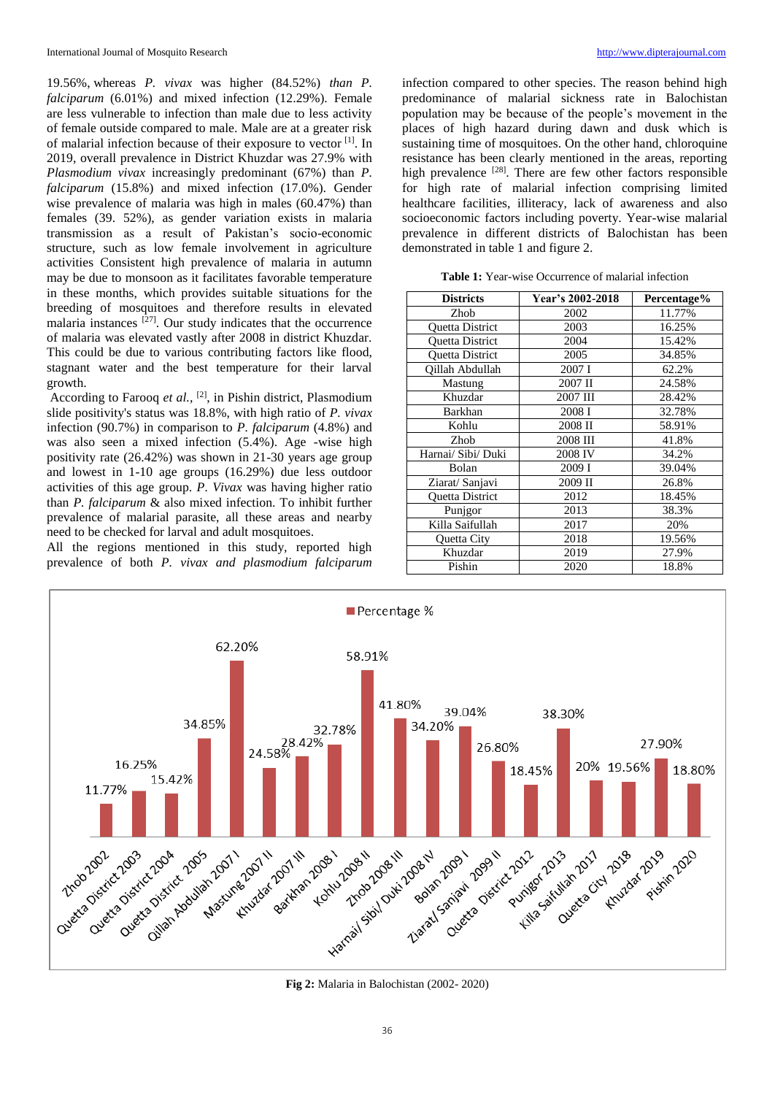19.56%, whereas *P. vivax* was higher (84.52%) *than P. falciparum* (6.01%) and mixed infection (12.29%). Female are less vulnerable to infection than male due to less activity of female outside compared to male. Male are at a greater risk of malarial infection because of their exposure to vector [1]. In 2019, overall prevalence in District Khuzdar was 27.9% with *Plasmodium vivax* increasingly predominant (67%) than *P. falciparum* (15.8%) and mixed infection (17.0%). Gender wise prevalence of malaria was high in males (60.47%) than females (39. 52%), as gender variation exists in malaria transmission as a result of Pakistan's socio-economic structure, such as low female involvement in agriculture activities Consistent high prevalence of malaria in autumn may be due to monsoon as it facilitates favorable temperature in these months, which provides suitable situations for the breeding of mosquitoes and therefore results in elevated malaria instances  $[27]$ . Our study indicates that the occurrence of malaria was elevated vastly after 2008 in district Khuzdar. This could be due to various contributing factors like flood, stagnant water and the best temperature for their larval growth.

According to Farooq *et al.,* [2], in Pishin district, Plasmodium slide positivity's status was 18.8%, with high ratio of *P. vivax* infection (90.7%) in comparison to *P. falciparum* (4.8%) and was also seen a mixed infection (5.4%). Age -wise high positivity rate (26.42%) was shown in 21-30 years age group and lowest in 1-10 age groups (16.29%) due less outdoor activities of this age group. *P. Vivax* was having higher ratio than *P. falciparum* & also mixed infection. To inhibit further prevalence of malarial parasite, all these areas and nearby need to be checked for larval and adult mosquitoes.

All the regions mentioned in this study, reported high prevalence of both *P. vivax and plasmodium falciparum*

infection compared to other species. The reason behind high predominance of malarial sickness rate in Balochistan population may be because of the people's movement in the places of high hazard during dawn and dusk which is sustaining time of mosquitoes. On the other hand, chloroquine resistance has been clearly mentioned in the areas, reporting high prevalence <sup>[28]</sup>. There are few other factors responsible for high rate of malarial infection comprising limited healthcare facilities, illiteracy, lack of awareness and also socioeconomic factors including poverty. Year-wise malarial prevalence in different districts of Balochistan has been demonstrated in table 1 and figure 2.

**Table 1:** Year-wise Occurrence of malarial infection

| <b>Districts</b>       | Year's 2002-2018 | Percentage% |
|------------------------|------------------|-------------|
| Zhob                   | 2002             | 11.77%      |
| <b>Ouetta District</b> | 2003             | 16.25%      |
| Quetta District        | 2004             | 15.42%      |
| <b>Ouetta District</b> | 2005             | 34.85%      |
| Oillah Abdullah        | 2007 I           | 62.2%       |
| Mastung                | 2007 II          | 24.58%      |
| Khuzdar                | 2007 III         | 28.42%      |
| Barkhan                | 2008 I           | 32.78%      |
| Kohlu                  | 2008 II          | 58.91%      |
| Zhob                   | 2008 III         | 41.8%       |
| Harnai/ Sibi/ Duki     | 2008 IV          | 34.2%       |
| Bolan                  | 2009 I           | 39.04%      |
| Ziarat/ Sanjavi        | 2009 II          | 26.8%       |
| Quetta District        | 2012             | 18.45%      |
| Punjgor                | 2013             | 38.3%       |
| Killa Saifullah        | 2017             | 20%         |
| Quetta City            | 2018             | 19.56%      |
| Khuzdar                | 2019             | 27.9%       |
| Pishin                 | 2020             | 18.8%       |



**Fig 2:** Malaria in Balochistan (2002- 2020)